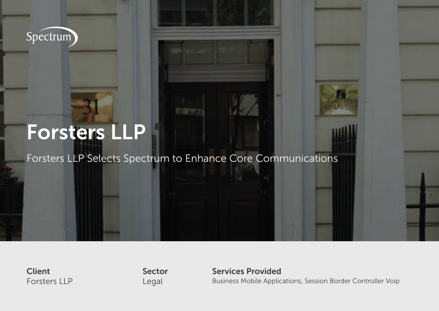Spéctrum

# Forsters LLP

Forsters LLP Selects Spectrum to Enhance Core Communications

**Client** Forsters LLP Sector Legal

Services Provided

Business Mobile Applications, Session Border Controller Voip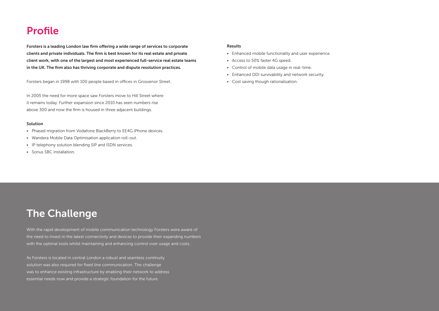## Profile

Forsters is a leading London law firm offering a wide range of services to corporate clients and private individuals. The firm is best known for its real estate and private client work, with one of the largest and most experienced full-service real estate teams in the UK. The firm also has thriving corporate and dispute resolution practices.

Forsters began in 1998 with 100 people based in offices in Grosvenor Street.

In 2005 the need for more space saw Forsters move to Hill Street where it remains today. Further expansion since 2010 has seen numbers rise above 300 and now the firm is housed in three adjacent buildings.

#### Solution

- Phased migration from Vodafone BlackBerry to EE4G iPhone devices.
- Wandera Mobile Data Optimisation application roll-out.
- IP telephony solution blending SIP and ISDN services.
- Sonus SBC installation.

### Results

- Enhanced mobile functionality and user experience.
- Access to 50% faster 4G speed.
- Control of mobile data usage in real-time.
- Enhanced DDI survivability and network security.
- Cost saving though rationalisation.

# The Challenge

With the rapid development of mobile communication technology Forsters were aware of the need to invest in the latest connectivity and devices to provide their expanding numbers with the optimal tools whilst maintaining and enhancing control over usage and costs.

As Forsters is located in central London a robust and seamless continuity solution was also required for fixed line communication. The challenge was to enhance existing infrastructure by enabling their network to address essential needs now and provide a strategic foundation for the future.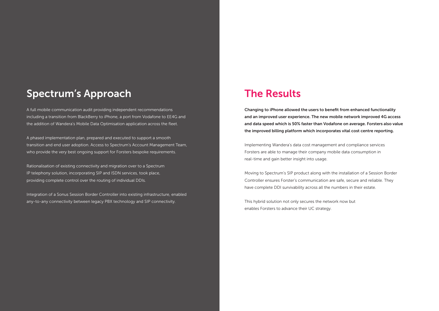## Spectrum's Approach

A full mobile communication audit providing independent recommendations including a transition from BlackBerry to iPhone, a port from Vodafone to EE4G and the addition of Wandera's Mobile Data Optimisation application across the fleet.

A phased implementation plan, prepared and executed to support a smooth transition and end user adoption. Access to Spectrum's Account Management Team, who provide the very best ongoing support for Forsters bespoke requirements.

Rationalisation of existing connectivity and migration over to a Spectrum IP telephony solution, incorporating SIP and ISDN services, took place, providing complete control over the routing of individual DDIs.

Integration of a Sonus Session Border Controller into existing infrastructure, enabled any-to-any connectivity between legacy PBX technology and SIP connectivity.

### The Results

Changing to iPhone allowed the users to benefit from enhanced functionality and an improved user experience. The new mobile network improved 4G access and data speed which is 50% faster than Vodafone on average. Forsters also value the improved billing platform which incorporates vital cost centre reporting.

Implementing Wandera's data cost management and compliance services Forsters are able to manage their company mobile data consumption in real-time and gain better insight into usage.

Moving to Spectrum's SIP product along with the installation of a Session Border Controller ensures Forster's communication are safe, secure and reliable. They have complete DDI survivability across all the numbers in their estate.

This hybrid solution not only secures the network now but enables Forsters to advance their UC strategy.